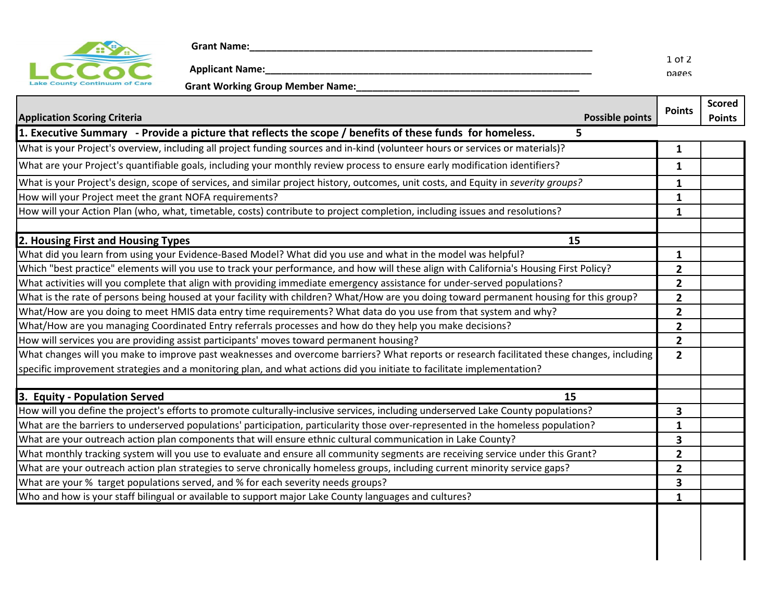

 **Grant Name:\_\_\_\_\_\_\_\_\_\_\_\_\_\_\_\_\_\_\_\_\_\_\_\_\_\_\_\_\_\_\_\_\_\_\_\_\_\_\_\_\_\_\_\_\_\_\_\_\_\_\_\_\_\_\_\_\_\_\_\_\_\_\_**

 **Applicant Name:\_\_\_\_\_\_\_\_\_\_\_\_\_\_\_\_\_\_\_\_\_\_\_\_\_\_\_\_\_\_\_\_\_\_\_\_\_\_\_\_\_\_\_\_\_\_\_\_\_\_\_\_\_\_\_\_\_\_\_\_** 1 of 2 pages Lake County Continuum of Care **Grant Working Group Member Name:** 

| <b>Possible points</b><br><b>Application Scoring Criteria</b>                                                                              | <b>Points</b>  | <b>Scored</b><br><b>Points</b> |
|--------------------------------------------------------------------------------------------------------------------------------------------|----------------|--------------------------------|
| 1. Executive Summary - Provide a picture that reflects the scope / benefits of these funds for homeless.<br>5.                             |                |                                |
| What is your Project's overview, including all project funding sources and in-kind (volunteer hours or services or materials)?             | $\mathbf{1}$   |                                |
| What are your Project's quantifiable goals, including your monthly review process to ensure early modification identifiers?                | $\mathbf{1}$   |                                |
| What is your Project's design, scope of services, and similar project history, outcomes, unit costs, and Equity in severity groups?        | $\mathbf{1}$   |                                |
| How will your Project meet the grant NOFA requirements?                                                                                    | $\mathbf{1}$   |                                |
| How will your Action Plan (who, what, timetable, costs) contribute to project completion, including issues and resolutions?                | $\mathbf{1}$   |                                |
| 2. Housing First and Housing Types<br>15                                                                                                   |                |                                |
| What did you learn from using your Evidence-Based Model? What did you use and what in the model was helpful?                               | $\mathbf{1}$   |                                |
| Which "best practice" elements will you use to track your performance, and how will these align with California's Housing First Policy?    | $\mathbf{2}$   |                                |
| What activities will you complete that align with providing immediate emergency assistance for under-served populations?                   | 2              |                                |
| What is the rate of persons being housed at your facility with children? What/How are you doing toward permanent housing for this group?   | $\mathbf{2}$   |                                |
| What/How are you doing to meet HMIS data entry time requirements? What data do you use from that system and why?                           | $\mathbf{2}$   |                                |
| What/How are you managing Coordinated Entry referrals processes and how do they help you make decisions?                                   | $\mathbf{2}$   |                                |
| How will services you are providing assist participants' moves toward permanent housing?                                                   | $\mathbf{2}$   |                                |
| What changes will you make to improve past weaknesses and overcome barriers? What reports or research facilitated these changes, including | $\overline{2}$ |                                |
| specific improvement strategies and a monitoring plan, and what actions did you initiate to facilitate implementation?                     |                |                                |
| 3. Equity - Population Served<br>15                                                                                                        |                |                                |
| How will you define the project's efforts to promote culturally-inclusive services, including underserved Lake County populations?         | 3              |                                |
| What are the barriers to underserved populations' participation, particularity those over-represented in the homeless population?          | $\mathbf{1}$   |                                |
| What are your outreach action plan components that will ensure ethnic cultural communication in Lake County?                               | 3              |                                |
| What monthly tracking system will you use to evaluate and ensure all community segments are receiving service under this Grant?            | $\mathbf{2}$   |                                |
| What are your outreach action plan strategies to serve chronically homeless groups, including current minority service gaps?               | $\overline{2}$ |                                |
| What are your % target populations served, and % for each severity needs groups?                                                           | 3              |                                |
| Who and how is your staff bilingual or available to support major Lake County languages and cultures?                                      | 1              |                                |
|                                                                                                                                            |                |                                |